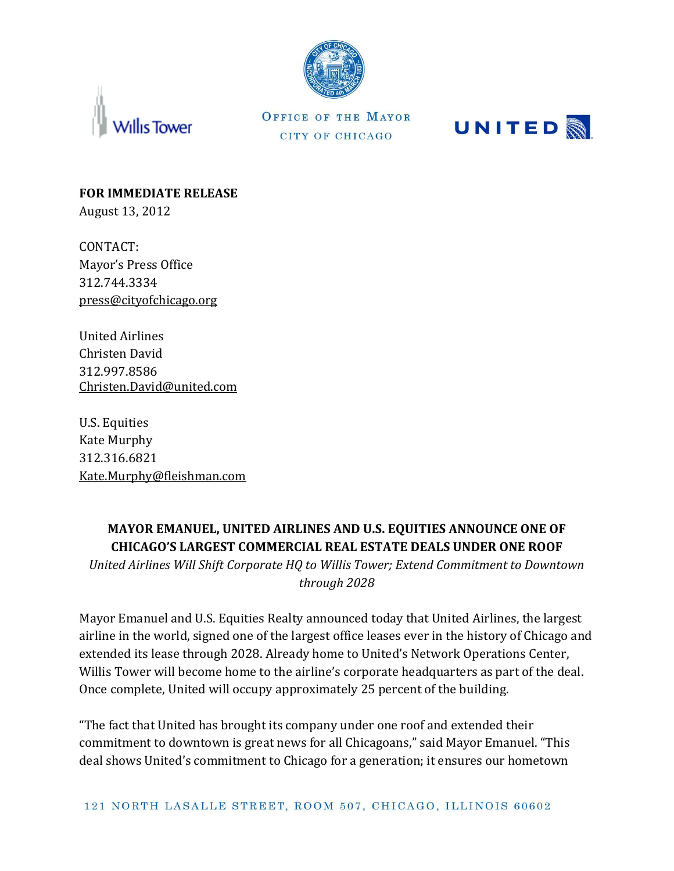



OFFICE OF THE MAYOR CITY OF CHICAGO



**FOR IMMEDIATE RELEASE** August 13, 2012

CONTACT: Mayor's Press Office 312.744.3334 [press@cityofchicago.org](mailto:press@cityofchicago.org)

United Airlines Christen David 312.997.8586 Christen.David@united.com

U.S. Equities Kate Murphy 312.316.6821 [Kate.Murphy@fleishman.com](mailto:Kate.Murphy@fleishman.com)

## **MAYOR EMANUEL, UNITED AIRLINES AND U.S. EQUITIES ANNOUNCE ONE OF CHICAGO'S LARGEST COMMERCIAL REAL ESTATE DEALS UNDER ONE ROOF**

*United Airlines Will Shift Corporate HQ to Willis Tower; Extend Commitment to Downtown through 2028*

Mayor Emanuel and U.S. Equities Realty announced today that United Airlines, the largest airline in the world, signed one of the largest office leases ever in the history of Chicago and extended its lease through 2028. Already home to United's Network Operations Center, Willis Tower will become home to the airline's corporate headquarters as part of the deal. Once complete, United will occupy approximately 25 percent of the building.

"The fact that United has brought its company under one roof and extended their commitment to downtown is great news for all Chicagoans," said Mayor Emanuel. "This deal shows United's commitment to Chicago for a generation; it ensures our hometown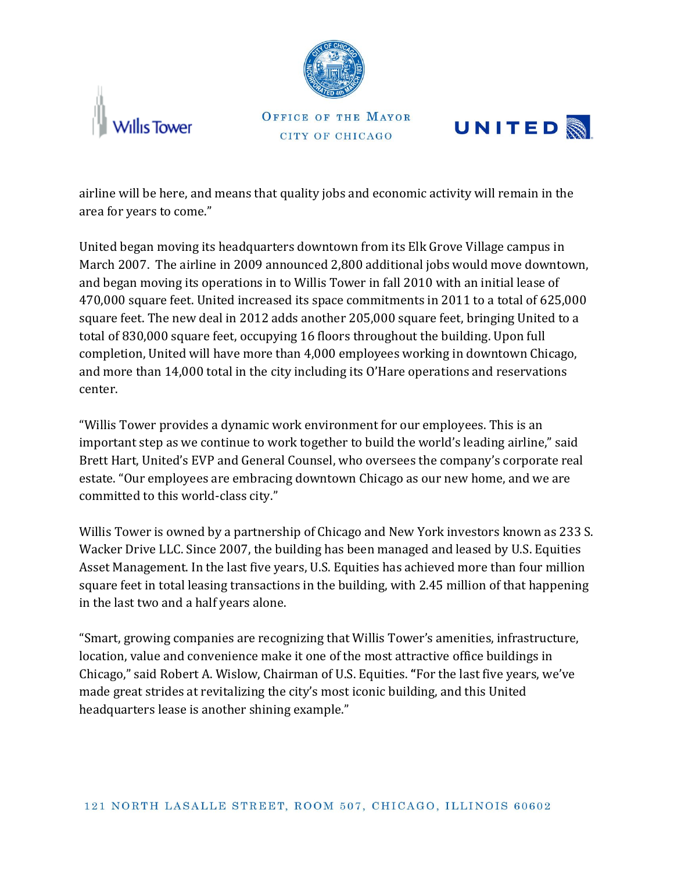



OFFICE OF THE MAYOR CITY OF CHICAGO



airline will be here, and means that quality jobs and economic activity will remain in the area for years to come."

United began moving its headquarters downtown from its Elk Grove Village campus in March 2007. The airline in 2009 announced 2,800 additional jobs would move downtown, and began moving its operations in to Willis Tower in fall 2010 with an initial lease of 470,000 square feet. United increased its space commitments in 2011 to a total of 625,000 square feet. The new deal in 2012 adds another 205,000 square feet, bringing United to a total of 830,000 square feet, occupying 16 floors throughout the building. Upon full completion, United will have more than 4,000 employees working in downtown Chicago, and more than 14,000 total in the city including its O'Hare operations and reservations center.

"Willis Tower provides a dynamic work environment for our employees. This is an important step as we continue to work together to build the world's leading airline," said Brett Hart, United's EVP and General Counsel, who oversees the company's corporate real estate. "Our employees are embracing downtown Chicago as our new home, and we are committed to this world-class city."

Willis Tower is owned by a partnership of Chicago and New York investors known as 233 S. Wacker Drive LLC. Since 2007, the building has been managed and leased by U.S. Equities Asset Management. In the last five years, U.S. Equities has achieved more than four million square feet in total leasing transactions in the building, with 2.45 million of that happening in the last two and a half years alone.

"Smart, growing companies are recognizing that Willis Tower's amenities, infrastructure, location, value and convenience make it one of the most attractive office buildings in Chicago," said Robert A. Wislow, Chairman of U.S. Equities. **"**For the last five years, we've made great strides at revitalizing the city's most iconic building, and this United headquarters lease is another shining example."